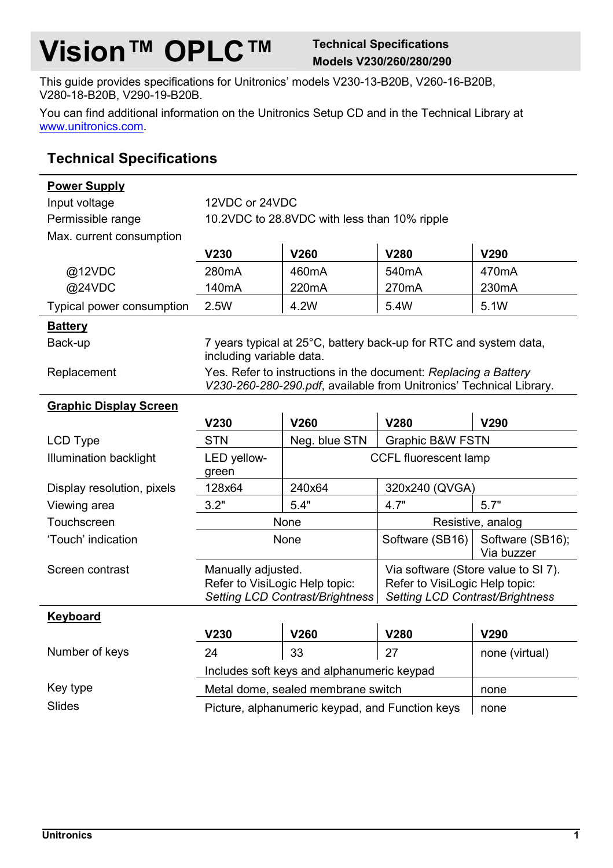## **Vision™ OPLC™** Technical Specifications

## **Models V230/260/280/290**

This guide provides specifications for Unitronics' models V230-13-B20B, V260-16-B20B, V280-18-B20B, V290-19-B20B.

You can find additional information on the Unitronics Setup CD and in the Technical Library at [www.unitronics.com.](http://www.unitronics.com/)

## **Technical Specifications**

**Power Supply**

| Input voltage                 | 12VDC or 24VDC                                                                                                                         |                                    |                                                                                                          |                                |  |  |
|-------------------------------|----------------------------------------------------------------------------------------------------------------------------------------|------------------------------------|----------------------------------------------------------------------------------------------------------|--------------------------------|--|--|
| Permissible range             | 10.2VDC to 28.8VDC with less than 10% ripple                                                                                           |                                    |                                                                                                          |                                |  |  |
| Max. current consumption      |                                                                                                                                        |                                    |                                                                                                          |                                |  |  |
|                               | V230                                                                                                                                   | V260                               | V280                                                                                                     | V290                           |  |  |
| @12VDC                        | 280mA                                                                                                                                  | 460mA                              | 540 <sub>m</sub> A                                                                                       | 470 <sub>m</sub> A             |  |  |
| @24VDC                        | 140 <sub>m</sub> A                                                                                                                     | 220mA                              | 270mA                                                                                                    | 230mA                          |  |  |
| Typical power consumption     | 2.5W                                                                                                                                   | 4.2W                               | 5.4W                                                                                                     | 5.1W                           |  |  |
| <b>Battery</b>                |                                                                                                                                        |                                    |                                                                                                          |                                |  |  |
| Back-up                       | 7 years typical at 25°C, battery back-up for RTC and system data,<br>including variable data.                                          |                                    |                                                                                                          |                                |  |  |
| Replacement                   | Yes. Refer to instructions in the document: Replacing a Battery<br>V230-260-280-290.pdf, available from Unitronics' Technical Library. |                                    |                                                                                                          |                                |  |  |
| <b>Graphic Display Screen</b> |                                                                                                                                        |                                    |                                                                                                          |                                |  |  |
|                               | V230                                                                                                                                   | V260                               | V280                                                                                                     | V290                           |  |  |
| <b>LCD Type</b>               | <b>STN</b>                                                                                                                             | Neg. blue STN                      | Graphic B&W FSTN                                                                                         |                                |  |  |
| Illumination backlight        | LED yellow-<br>CCFL fluorescent lamp<br>green                                                                                          |                                    |                                                                                                          |                                |  |  |
| Display resolution, pixels    | 128x64                                                                                                                                 | 240x64                             |                                                                                                          | 320x240 (QVGA)                 |  |  |
| Viewing area                  | 3.2"                                                                                                                                   | 5.4"                               | 4.7"                                                                                                     | 5.7"                           |  |  |
| Touchscreen                   |                                                                                                                                        | None                               | Resistive, analog                                                                                        |                                |  |  |
| 'Touch' indication            | None                                                                                                                                   |                                    | Software (SB16)                                                                                          | Software (SB16);<br>Via buzzer |  |  |
| Screen contrast               | Manually adjusted.<br>Refer to VisiLogic Help topic:<br>Setting LCD Contrast/Brightness                                                |                                    | Via software (Store value to SI 7).<br>Refer to VisiLogic Help topic:<br>Setting LCD Contrast/Brightness |                                |  |  |
| Keyboard                      |                                                                                                                                        |                                    |                                                                                                          |                                |  |  |
|                               | V230                                                                                                                                   | V260                               | V280                                                                                                     | V290                           |  |  |
| Number of keys                | 24                                                                                                                                     | 33                                 | 27                                                                                                       | none (virtual)                 |  |  |
|                               | Includes soft keys and alphanumeric keypad                                                                                             |                                    |                                                                                                          |                                |  |  |
| Key type                      |                                                                                                                                        | Metal dome, sealed membrane switch |                                                                                                          | none                           |  |  |
|                               |                                                                                                                                        |                                    |                                                                                                          |                                |  |  |

Slides **Picture, alphanumeric keypad, and Function keys** none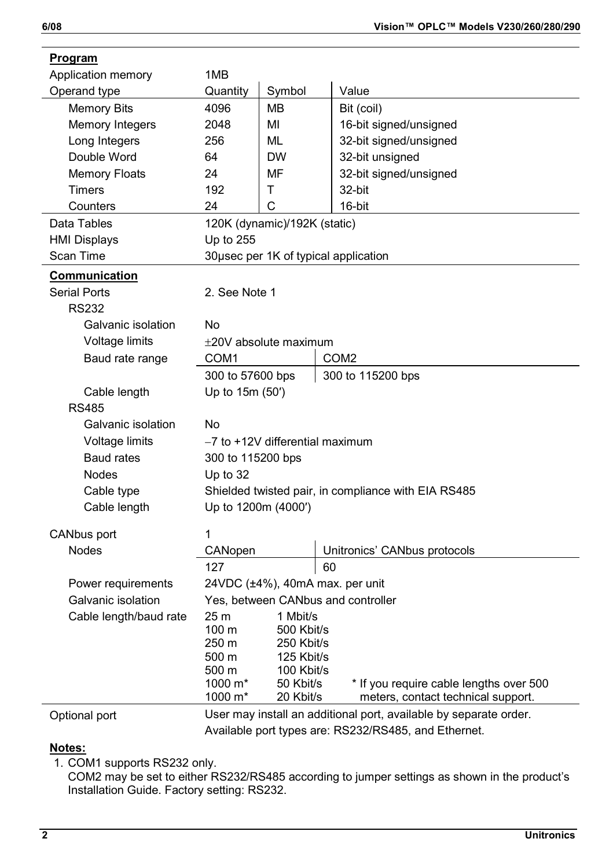| <u>r royram</u>        |                                                                   |                                 |                                                     |  |  |
|------------------------|-------------------------------------------------------------------|---------------------------------|-----------------------------------------------------|--|--|
| Application memory     | 1MB                                                               |                                 |                                                     |  |  |
| Operand type           | Quantity                                                          | Symbol                          | Value                                               |  |  |
| Memory Bits            | 4096                                                              | MВ                              | Bit (coil)                                          |  |  |
| Memory Integers        | 2048                                                              | MI                              | 16-bit signed/unsigned                              |  |  |
| Long Integers          | 256                                                               | ML                              | 32-bit signed/unsigned                              |  |  |
| Double Word            | 64                                                                | <b>DW</b>                       | 32-bit unsigned                                     |  |  |
| <b>Memory Floats</b>   | 24                                                                | MF                              | 32-bit signed/unsigned                              |  |  |
| <b>Timers</b>          | 192                                                               | T                               | 32-bit                                              |  |  |
| Counters               | 24                                                                | C                               | 16-bit                                              |  |  |
| Data Tables            | 120K (dynamic)/192K (static)                                      |                                 |                                                     |  |  |
| <b>HMI Displays</b>    | Up to 255                                                         |                                 |                                                     |  |  |
| Scan Time              | 30usec per 1K of typical application                              |                                 |                                                     |  |  |
| Communication          |                                                                   |                                 |                                                     |  |  |
| <b>Serial Ports</b>    | 2. See Note 1                                                     |                                 |                                                     |  |  |
| <b>RS232</b>           |                                                                   |                                 |                                                     |  |  |
| Galvanic isolation     | No                                                                |                                 |                                                     |  |  |
| Voltage limits         | $\pm$ 20V absolute maximum                                        |                                 |                                                     |  |  |
| Baud rate range        | COM1                                                              |                                 | COM <sub>2</sub>                                    |  |  |
|                        | 300 to 57600 bps<br>300 to 115200 bps                             |                                 |                                                     |  |  |
| Cable length           | Up to 15m (50')                                                   |                                 |                                                     |  |  |
| <b>RS485</b>           |                                                                   |                                 |                                                     |  |  |
| Galvanic isolation     | No                                                                |                                 |                                                     |  |  |
| Voltage limits         | -7 to +12V differential maximum                                   |                                 |                                                     |  |  |
| <b>Baud rates</b>      | 300 to 115200 bps                                                 |                                 |                                                     |  |  |
| <b>Nodes</b>           | Up to $32$                                                        |                                 |                                                     |  |  |
| Cable type             |                                                                   |                                 | Shielded twisted pair, in compliance with EIA RS485 |  |  |
| Cable length           | Up to 1200m (4000')                                               |                                 |                                                     |  |  |
|                        |                                                                   |                                 |                                                     |  |  |
| CANbus port            | 1                                                                 |                                 |                                                     |  |  |
| <b>Nodes</b>           | CANopen                                                           |                                 | Unitronics' CANbus protocols                        |  |  |
|                        | 127                                                               |                                 | 60                                                  |  |  |
| Power requirements     |                                                                   | 24VDC (±4%), 40mA max. per unit |                                                     |  |  |
| Galvanic isolation     | Yes, between CANbus and controller                                |                                 |                                                     |  |  |
| Cable length/baud rate | 25 m                                                              | 1 Mbit/s                        |                                                     |  |  |
|                        | 100 m<br>250 m                                                    | 500 Kbit/s<br>250 Kbit/s        |                                                     |  |  |
|                        | 500 m                                                             | 125 Kbit/s                      |                                                     |  |  |
|                        | 500 m                                                             | 100 Kbit/s                      |                                                     |  |  |
|                        | 1000 $m^*$                                                        | 50 Kbit/s                       | * If you require cable lengths over 500             |  |  |
|                        | 1000 m*                                                           | 20 Kbit/s                       | meters, contact technical support.                  |  |  |
| Optional port          | User may install an additional port, available by separate order. |                                 |                                                     |  |  |

Available port types are: RS232/RS485, and Ethernet.

## **Notes:**

1. COM1 supports RS232 only.

COM2 may be set to either RS232/RS485 according to jumper settings as shown in the product's Installation Guide. Factory setting: RS232.

**Program**